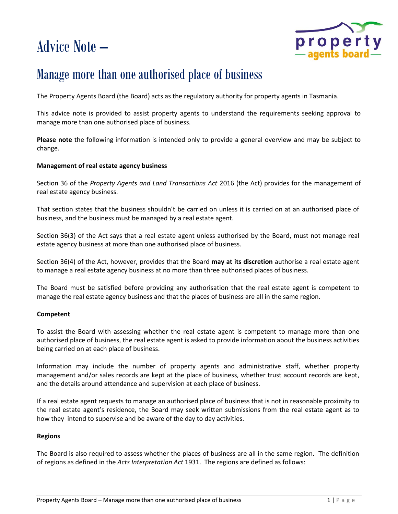# Advice Note –



## Manage more than one authorised place of business

The Property Agents Board (the Board) acts as the regulatory authority for property agents in Tasmania.

This advice note is provided to assist property agents to understand the requirements seeking approval to manage more than one authorised place of business.

**Please note** the following information is intended only to provide a general overview and may be subject to change.

### **Management of real estate agency business**

Section 36 of the *Property Agents and Land Transactions Act* 2016 (the Act) provides for the management of real estate agency business.

That section states that the business shouldn't be carried on unless it is carried on at an authorised place of business, and the business must be managed by a real estate agent.

Section 36(3) of the Act says that a real estate agent unless authorised by the Board, must not manage real estate agency business at more than one authorised place of business.

Section 36(4) of the Act, however, provides that the Board **may at its discretion** authorise a real estate agent to manage a real estate agency business at no more than three authorised places of business.

The Board must be satisfied before providing any authorisation that the real estate agent is competent to manage the real estate agency business and that the places of business are all in the same region.

### **Competent**

To assist the Board with assessing whether the real estate agent is competent to manage more than one authorised place of business, the real estate agent is asked to provide information about the business activities being carried on at each place of business.

Information may include the number of property agents and administrative staff, whether property management and/or sales records are kept at the place of business, whether trust account records are kept, and the details around attendance and supervision at each place of business.

If a real estate agent requests to manage an authorised place of business that is not in reasonable proximity to the real estate agent's residence, the Board may seek written submissions from the real estate agent as to how they intend to supervise and be aware of the day to day activities.

### **Regions**

The Board is also required to assess whether the places of business are all in the same region. The definition of regions as defined in the *Acts Interpretation Act* 1931. The regions are defined as follows: